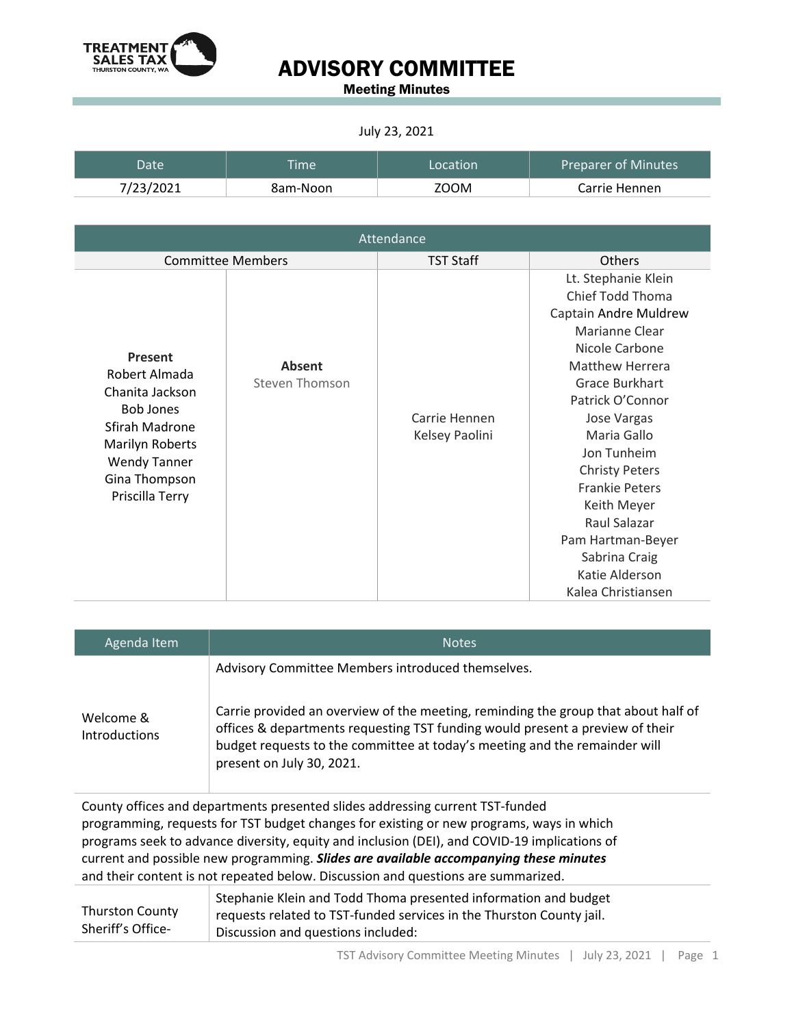

Meeting Minutes

#### July 23, 2021

| Date      | Time i   | Location | <b>Preparer of Minutes</b> |
|-----------|----------|----------|----------------------------|
| 7/23/2021 | 8am-Noon | ZOOM     | Carrie Hennen              |

| Attendance                                                                                                                                                             |                                 |                                 |                                                                                                                                                                                                                                                                                                                                                                           |
|------------------------------------------------------------------------------------------------------------------------------------------------------------------------|---------------------------------|---------------------------------|---------------------------------------------------------------------------------------------------------------------------------------------------------------------------------------------------------------------------------------------------------------------------------------------------------------------------------------------------------------------------|
|                                                                                                                                                                        | <b>Committee Members</b>        | <b>TST Staff</b>                | <b>Others</b>                                                                                                                                                                                                                                                                                                                                                             |
| Present<br>Robert Almada<br>Chanita Jackson<br><b>Bob Jones</b><br>Sfirah Madrone<br><b>Marilyn Roberts</b><br><b>Wendy Tanner</b><br>Gina Thompson<br>Priscilla Terry | <b>Absent</b><br>Steven Thomson | Carrie Hennen<br>Kelsey Paolini | Lt. Stephanie Klein<br>Chief Todd Thoma<br>Captain Andre Muldrew<br>Marianne Clear<br>Nicole Carbone<br>Matthew Herrera<br>Grace Burkhart<br>Patrick O'Connor<br>Jose Vargas<br>Maria Gallo<br>Jon Tunheim<br><b>Christy Peters</b><br><b>Frankie Peters</b><br>Keith Meyer<br>Raul Salazar<br>Pam Hartman-Beyer<br>Sabrina Craig<br>Katie Alderson<br>Kalea Christiansen |

| Agenda Item                                                                                                                                                               | <b>Notes</b>                                                                                                                                                                                                                                                                   |
|---------------------------------------------------------------------------------------------------------------------------------------------------------------------------|--------------------------------------------------------------------------------------------------------------------------------------------------------------------------------------------------------------------------------------------------------------------------------|
|                                                                                                                                                                           | Advisory Committee Members introduced themselves.                                                                                                                                                                                                                              |
| Welcome &<br><b>Introductions</b>                                                                                                                                         | Carrie provided an overview of the meeting, reminding the group that about half of<br>offices & departments requesting TST funding would present a preview of their<br>budget requests to the committee at today's meeting and the remainder will<br>present on July 30, 2021. |
| County offices and departments presented slides addressing current TST-funded<br>programming, requests for TST budget changes for existing or new programs, ways in which |                                                                                                                                                                                                                                                                                |

programs seek to advance diversity, equity and inclusion (DEI), and COVID-19 implications of current and possible new programming. *Slides are available accompanying these minutes* and their content is not repeated below. Discussion and questions are summarized.

|                        | Stephanie Klein and Todd Thoma presented information and budget      |
|------------------------|----------------------------------------------------------------------|
| <b>Thurston County</b> | requests related to TST-funded services in the Thurston County jail. |
| Sheriff's Office-      | Discussion and questions included:                                   |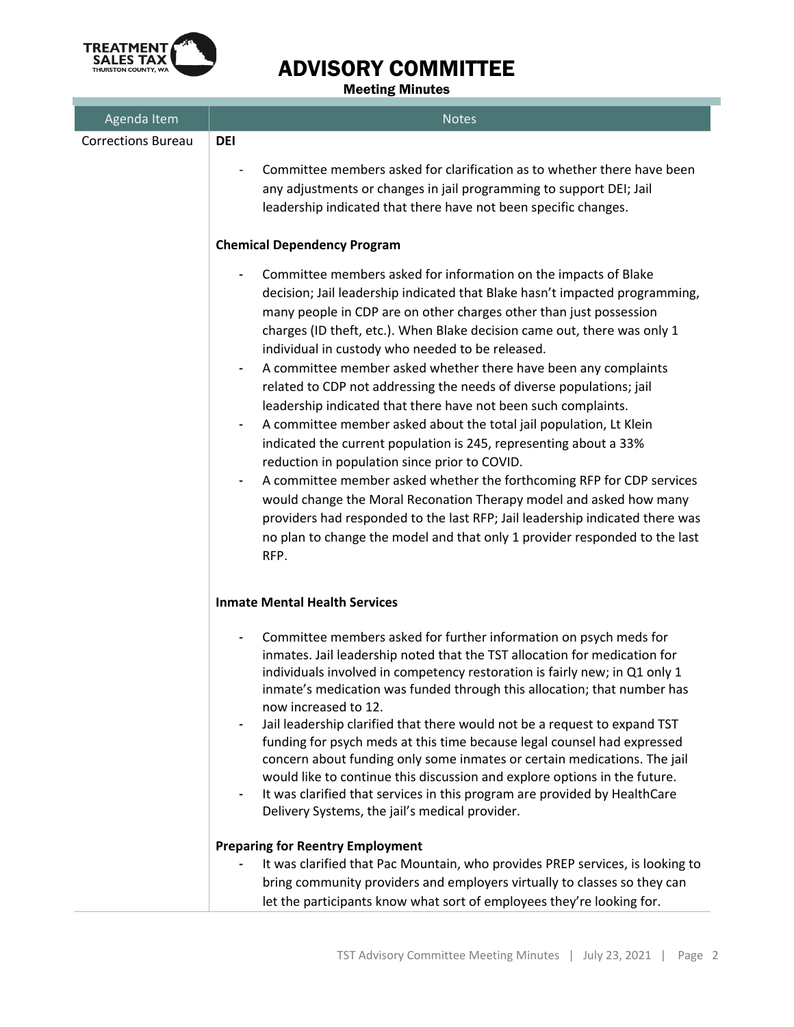

Meeting Minutes

| Agenda Item               | <b>Notes</b>                                                                                                                                                                                                                                                                                                                                                                                                                                                                                                                                                                                                                                                                                                                                                                                                                                                                                                                                                                                                                                                                                 |
|---------------------------|----------------------------------------------------------------------------------------------------------------------------------------------------------------------------------------------------------------------------------------------------------------------------------------------------------------------------------------------------------------------------------------------------------------------------------------------------------------------------------------------------------------------------------------------------------------------------------------------------------------------------------------------------------------------------------------------------------------------------------------------------------------------------------------------------------------------------------------------------------------------------------------------------------------------------------------------------------------------------------------------------------------------------------------------------------------------------------------------|
| <b>Corrections Bureau</b> | <b>DEI</b>                                                                                                                                                                                                                                                                                                                                                                                                                                                                                                                                                                                                                                                                                                                                                                                                                                                                                                                                                                                                                                                                                   |
|                           | Committee members asked for clarification as to whether there have been<br>any adjustments or changes in jail programming to support DEI; Jail<br>leadership indicated that there have not been specific changes.                                                                                                                                                                                                                                                                                                                                                                                                                                                                                                                                                                                                                                                                                                                                                                                                                                                                            |
|                           | <b>Chemical Dependency Program</b>                                                                                                                                                                                                                                                                                                                                                                                                                                                                                                                                                                                                                                                                                                                                                                                                                                                                                                                                                                                                                                                           |
|                           | Committee members asked for information on the impacts of Blake<br>decision; Jail leadership indicated that Blake hasn't impacted programming,<br>many people in CDP are on other charges other than just possession<br>charges (ID theft, etc.). When Blake decision came out, there was only 1<br>individual in custody who needed to be released.<br>A committee member asked whether there have been any complaints<br>related to CDP not addressing the needs of diverse populations; jail<br>leadership indicated that there have not been such complaints.<br>A committee member asked about the total jail population, Lt Klein<br>۰<br>indicated the current population is 245, representing about a 33%<br>reduction in population since prior to COVID.<br>A committee member asked whether the forthcoming RFP for CDP services<br>۰<br>would change the Moral Reconation Therapy model and asked how many<br>providers had responded to the last RFP; Jail leadership indicated there was<br>no plan to change the model and that only 1 provider responded to the last<br>RFP. |
|                           | <b>Inmate Mental Health Services</b>                                                                                                                                                                                                                                                                                                                                                                                                                                                                                                                                                                                                                                                                                                                                                                                                                                                                                                                                                                                                                                                         |
|                           | Committee members asked for further information on psych meds for<br>$\qquad \qquad \blacksquare$<br>inmates. Jail leadership noted that the TST allocation for medication for<br>individuals involved in competency restoration is fairly new; in Q1 only 1<br>inmate's medication was funded through this allocation; that number has<br>now increased to 12.<br>Jail leadership clarified that there would not be a request to expand TST<br>funding for psych meds at this time because legal counsel had expressed<br>concern about funding only some inmates or certain medications. The jail<br>would like to continue this discussion and explore options in the future.<br>It was clarified that services in this program are provided by HealthCare<br>Delivery Systems, the jail's medical provider.                                                                                                                                                                                                                                                                              |
|                           | <b>Preparing for Reentry Employment</b>                                                                                                                                                                                                                                                                                                                                                                                                                                                                                                                                                                                                                                                                                                                                                                                                                                                                                                                                                                                                                                                      |
|                           | It was clarified that Pac Mountain, who provides PREP services, is looking to<br>bring community providers and employers virtually to classes so they can<br>let the participants know what sort of employees they're looking for.                                                                                                                                                                                                                                                                                                                                                                                                                                                                                                                                                                                                                                                                                                                                                                                                                                                           |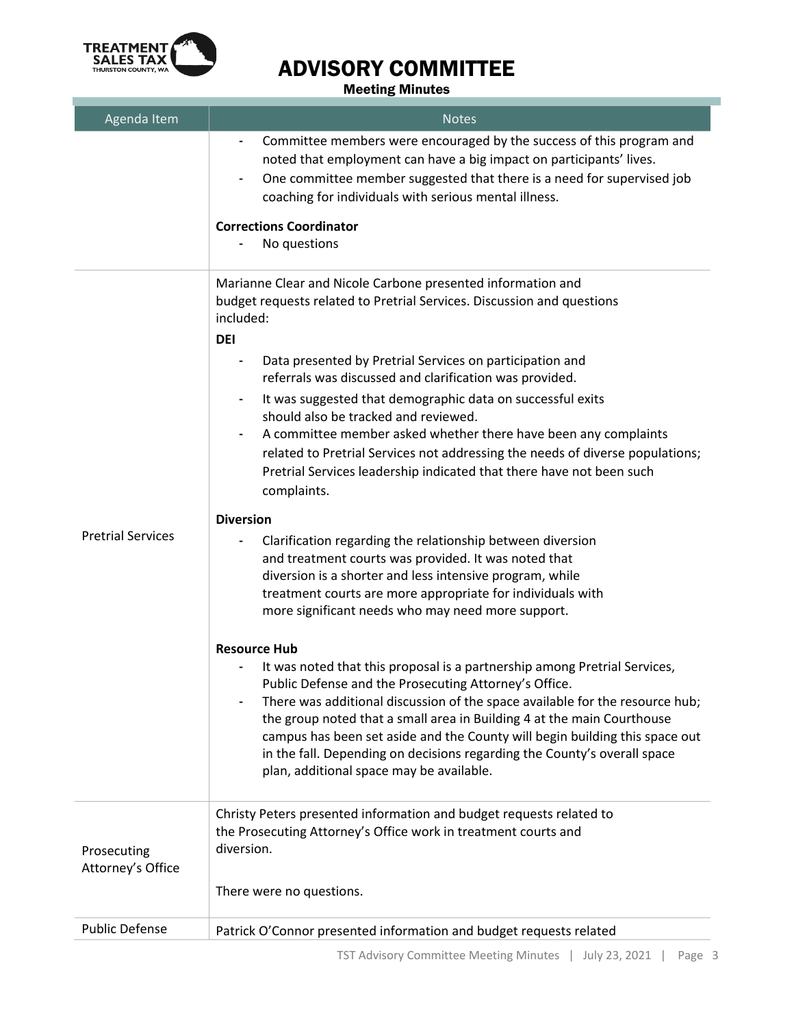

п

# ADVISORY COMMITTEE

Meeting Minutes

| Agenda Item                      | <b>Notes</b>                                                                                                                                                                                                                                                                                                                                                                                                                                                                                                               |
|----------------------------------|----------------------------------------------------------------------------------------------------------------------------------------------------------------------------------------------------------------------------------------------------------------------------------------------------------------------------------------------------------------------------------------------------------------------------------------------------------------------------------------------------------------------------|
|                                  | Committee members were encouraged by the success of this program and<br>$\overline{\phantom{a}}$<br>noted that employment can have a big impact on participants' lives.<br>One committee member suggested that there is a need for supervised job<br>-<br>coaching for individuals with serious mental illness.                                                                                                                                                                                                            |
|                                  | <b>Corrections Coordinator</b><br>No questions                                                                                                                                                                                                                                                                                                                                                                                                                                                                             |
|                                  | Marianne Clear and Nicole Carbone presented information and<br>budget requests related to Pretrial Services. Discussion and questions<br>included:<br><b>DEI</b>                                                                                                                                                                                                                                                                                                                                                           |
|                                  | Data presented by Pretrial Services on participation and<br>referrals was discussed and clarification was provided.                                                                                                                                                                                                                                                                                                                                                                                                        |
|                                  | It was suggested that demographic data on successful exits<br>should also be tracked and reviewed.<br>A committee member asked whether there have been any complaints<br>٠<br>related to Pretrial Services not addressing the needs of diverse populations;<br>Pretrial Services leadership indicated that there have not been such<br>complaints.                                                                                                                                                                         |
|                                  | <b>Diversion</b>                                                                                                                                                                                                                                                                                                                                                                                                                                                                                                           |
| <b>Pretrial Services</b>         | Clarification regarding the relationship between diversion<br>and treatment courts was provided. It was noted that<br>diversion is a shorter and less intensive program, while<br>treatment courts are more appropriate for individuals with<br>more significant needs who may need more support.                                                                                                                                                                                                                          |
|                                  | <b>Resource Hub</b><br>It was noted that this proposal is a partnership among Pretrial Services,<br>Public Defense and the Prosecuting Attorney's Office.<br>There was additional discussion of the space available for the resource hub;<br>the group noted that a small area in Building 4 at the main Courthouse<br>campus has been set aside and the County will begin building this space out<br>in the fall. Depending on decisions regarding the County's overall space<br>plan, additional space may be available. |
| Prosecuting<br>Attorney's Office | Christy Peters presented information and budget requests related to<br>the Prosecuting Attorney's Office work in treatment courts and<br>diversion.                                                                                                                                                                                                                                                                                                                                                                        |
|                                  | There were no questions.                                                                                                                                                                                                                                                                                                                                                                                                                                                                                                   |
| <b>Public Defense</b>            | Patrick O'Connor presented information and budget requests related                                                                                                                                                                                                                                                                                                                                                                                                                                                         |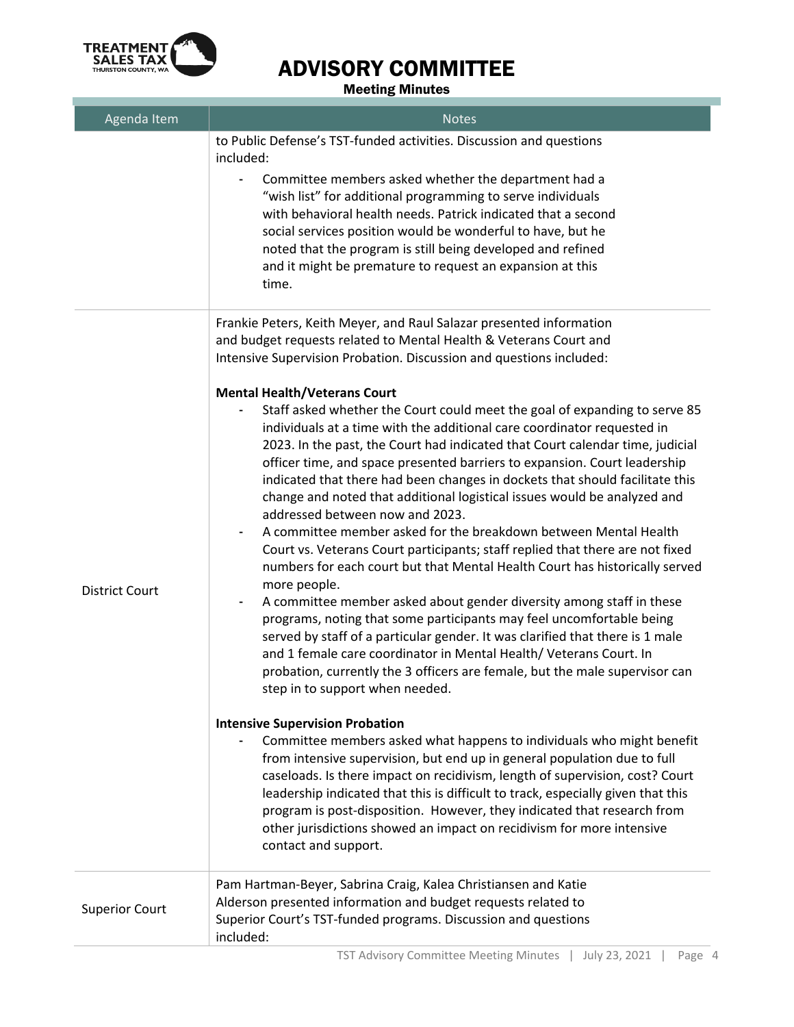

#### Meeting Minutes

| Agenda Item           | <b>Notes</b>                                                                                                                                                                                                                                                                                                                                                                                                                                                                                                                                                                                                                                                                                                                                                                                                                                                                                                                                                                                                                                                                                                                                                                                                                           |
|-----------------------|----------------------------------------------------------------------------------------------------------------------------------------------------------------------------------------------------------------------------------------------------------------------------------------------------------------------------------------------------------------------------------------------------------------------------------------------------------------------------------------------------------------------------------------------------------------------------------------------------------------------------------------------------------------------------------------------------------------------------------------------------------------------------------------------------------------------------------------------------------------------------------------------------------------------------------------------------------------------------------------------------------------------------------------------------------------------------------------------------------------------------------------------------------------------------------------------------------------------------------------|
|                       | to Public Defense's TST-funded activities. Discussion and questions<br>included:                                                                                                                                                                                                                                                                                                                                                                                                                                                                                                                                                                                                                                                                                                                                                                                                                                                                                                                                                                                                                                                                                                                                                       |
|                       | Committee members asked whether the department had a<br>"wish list" for additional programming to serve individuals<br>with behavioral health needs. Patrick indicated that a second<br>social services position would be wonderful to have, but he<br>noted that the program is still being developed and refined<br>and it might be premature to request an expansion at this<br>time.                                                                                                                                                                                                                                                                                                                                                                                                                                                                                                                                                                                                                                                                                                                                                                                                                                               |
|                       | Frankie Peters, Keith Meyer, and Raul Salazar presented information<br>and budget requests related to Mental Health & Veterans Court and<br>Intensive Supervision Probation. Discussion and questions included:                                                                                                                                                                                                                                                                                                                                                                                                                                                                                                                                                                                                                                                                                                                                                                                                                                                                                                                                                                                                                        |
| <b>District Court</b> | <b>Mental Health/Veterans Court</b><br>Staff asked whether the Court could meet the goal of expanding to serve 85<br>individuals at a time with the additional care coordinator requested in<br>2023. In the past, the Court had indicated that Court calendar time, judicial<br>officer time, and space presented barriers to expansion. Court leadership<br>indicated that there had been changes in dockets that should facilitate this<br>change and noted that additional logistical issues would be analyzed and<br>addressed between now and 2023.<br>A committee member asked for the breakdown between Mental Health<br>Court vs. Veterans Court participants; staff replied that there are not fixed<br>numbers for each court but that Mental Health Court has historically served<br>more people.<br>A committee member asked about gender diversity among staff in these<br>programs, noting that some participants may feel uncomfortable being<br>served by staff of a particular gender. It was clarified that there is 1 male<br>and 1 female care coordinator in Mental Health/ Veterans Court. In<br>probation, currently the 3 officers are female, but the male supervisor can<br>step in to support when needed. |
|                       | <b>Intensive Supervision Probation</b><br>Committee members asked what happens to individuals who might benefit<br>from intensive supervision, but end up in general population due to full<br>caseloads. Is there impact on recidivism, length of supervision, cost? Court<br>leadership indicated that this is difficult to track, especially given that this<br>program is post-disposition. However, they indicated that research from<br>other jurisdictions showed an impact on recidivism for more intensive<br>contact and support.                                                                                                                                                                                                                                                                                                                                                                                                                                                                                                                                                                                                                                                                                            |
| <b>Superior Court</b> | Pam Hartman-Beyer, Sabrina Craig, Kalea Christiansen and Katie<br>Alderson presented information and budget requests related to<br>Superior Court's TST-funded programs. Discussion and questions<br>included:                                                                                                                                                                                                                                                                                                                                                                                                                                                                                                                                                                                                                                                                                                                                                                                                                                                                                                                                                                                                                         |